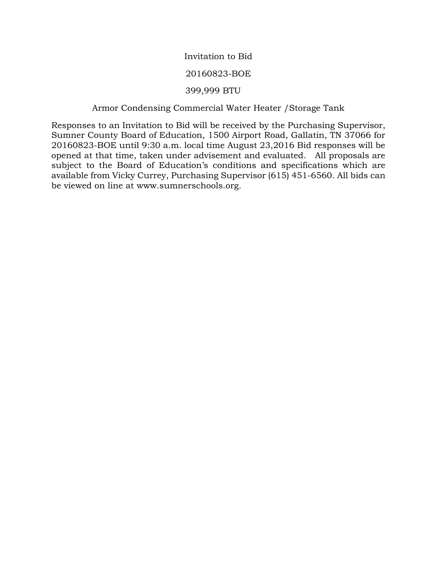# Invitation to Bid

# 20160823-BOE

# 399,999 BTU

# Armor Condensing Commercial Water Heater /Storage Tank

Responses to an Invitation to Bid will be received by the Purchasing Supervisor, Sumner County Board of Education, 1500 Airport Road, Gallatin, TN 37066 for 20160823-BOE until 9:30 a.m. local time August 23,2016 Bid responses will be opened at that time, taken under advisement and evaluated. All proposals are subject to the Board of Education's conditions and specifications which are available from Vicky Currey, Purchasing Supervisor (615) 451-6560. All bids can be viewed on line at www.sumnerschools.org.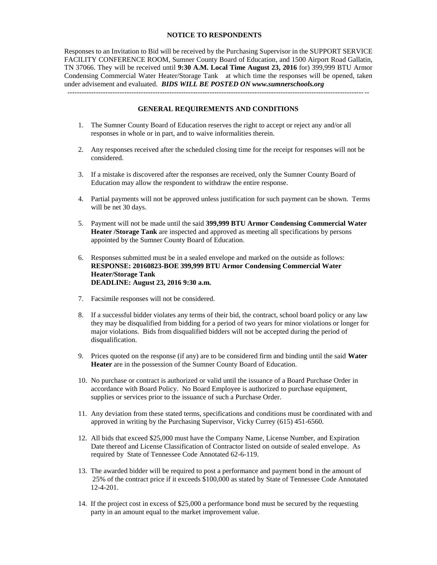### **NOTICE TO RESPONDENTS**

Responses to an Invitation to Bid will be received by the Purchasing Supervisor in the SUPPORT SERVICE FACILITY CONFERENCE ROOM, Sumner County Board of Education, and 1500 Airport Road Gallatin, TN 37066. They will be received until **9:30 A.M. Local Time August 23, 2016** for) 399,999 BTU Armor Condensing Commercial Water Heater/Storage Tank at which time the responses will be opened, taken under advisement and evaluated. *BIDS WILL BE POSTED ON www.sumnerschools.org* -------------------------------------------------------------------------------------------------------------------------------

#### **GENERAL REQUIREMENTS AND CONDITIONS**

- 1. The Sumner County Board of Education reserves the right to accept or reject any and/or all responses in whole or in part, and to waive informalities therein.
- 2. Any responses received after the scheduled closing time for the receipt for responses will not be considered.
- 3. If a mistake is discovered after the responses are received, only the Sumner County Board of Education may allow the respondent to withdraw the entire response.
- 4. Partial payments will not be approved unless justification for such payment can be shown. Terms will be net 30 days.
- 5. Payment will not be made until the said **399,999 BTU Armor Condensing Commercial Water Heater /Storage Tank** are inspected and approved as meeting all specifications by persons appointed by the Sumner County Board of Education.
- 6. Responses submitted must be in a sealed envelope and marked on the outside as follows: **RESPONSE: 20160823-BOE 399,999 BTU Armor Condensing Commercial Water Heater/Storage Tank DEADLINE: August 23, 2016 9:30 a.m.**
- 7. Facsimile responses will not be considered.
- 8. If a successful bidder violates any terms of their bid, the contract, school board policy or any law they may be disqualified from bidding for a period of two years for minor violations or longer for major violations. Bids from disqualified bidders will not be accepted during the period of disqualification.
- 9. Prices quoted on the response (if any) are to be considered firm and binding until the said **Water Heater** are in the possession of the Sumner County Board of Education.
- 10. No purchase or contract is authorized or valid until the issuance of a Board Purchase Order in accordance with Board Policy. No Board Employee is authorized to purchase equipment, supplies or services prior to the issuance of such a Purchase Order.
- 11. Any deviation from these stated terms, specifications and conditions must be coordinated with and approved in writing by the Purchasing Supervisor, Vicky Currey (615) 451-6560.
- 12. All bids that exceed \$25,000 must have the Company Name, License Number, and Expiration Date thereof and License Classification of Contractor listed on outside of sealed envelope. As required by State of Tennessee Code Annotated 62-6-119.
- 13. The awarded bidder will be required to post a performance and payment bond in the amount of 25% of the contract price if it exceeds \$100,000 as stated by State of Tennessee Code Annotated 12-4-201.
- 14. If the project cost in excess of \$25,000 a performance bond must be secured by the requesting party in an amount equal to the market improvement value.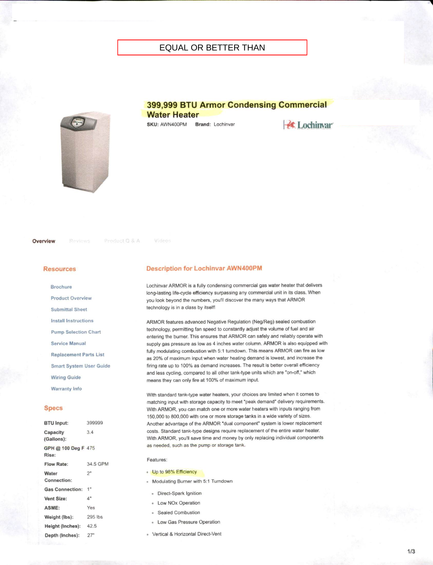# **EQUAL OR BETTER THAN**

# 399,999 BTU Armor Condensing Commercial

**Water Heater** SKU: AWN400PM Brand: Lochinvar

**K** Lochinvar

Overview

Product Q & A

Videos

#### **Resources**

**Brochure Product Overview Submittal Sheet Install Instructions Pump Selection Chart Service Manual Replacement Parts List** Smart System User Guide

**Wiring Guide** 

**Warranty Info** 

#### **Specs**

| <b>BTU Input:</b>            | 399999         |
|------------------------------|----------------|
| Capacity<br>(Gallons):       | 3.4            |
| GPH @ 100 Deg F 475<br>Rise: |                |
| <b>Flow Rate:</b>            | 34.5 GPN       |
| Water<br>Connection:         | 2 <sup>n</sup> |
| <b>Gas Connection:</b>       | 1"             |
| Vent Size:                   | 4"             |
| ASME:                        | Yes            |
| Weight (lbs):                | 295 lbs        |
| Height (Inches): 42.5        |                |
| Depth (Inches):              | 27"            |
|                              |                |

#### **Description for Lochinvar AWN400PM**

Lochinvar ARMOR is a fully condensing commercial gas water heater that delivers long-lasting life-cycle efficiency surpassing any commercial unit in its class. When you look beyond the numbers, you'll discover the many ways that ARMOR technology is in a class by itself!

ARMOR features advanced Negative Regulation (Neg/Reg) sealed combustion technology, permitting fan speed to constantly adjust the volume of fuel and air entering the burner. This ensures that ARMOR can safely and reliably operate with supply gas pressure as low as 4 inches water column. ARMOR is also equipped with fully modulating combustion with 5:1 turndown. This means ARMOR can fire as low as 20% of maximum input when water heating demand is lowest, and increase the firing rate up to 100% as demand increases. The result is better overall efficiency and less cycling, compared to all other tank-type units which are "on-off," which means they can only fire at 100% of maximum input.

With standard tank-type water heaters, your choices are limited when it comes to matching input with storage capacity to meet "peak demand" delivery requirements. With ARMOR, you can match one or more water heaters with inputs ranging from 150,000 to 800,000 with one or more storage tanks in a wide variety of sizes. Another advantage of the ARMOR "dual component" system is lower replacement costs. Standard tank-type designs require replacement of the entire water heater. With ARMOR, you'll save time and money by only replacing individual components as needed, such as the pump or storage tank.

#### Features:

- Up to 98% Efficiency
- · Modulating Burner with 5:1 Turndown
	- · Direct-Spark Ignition
- Low NOx Operation
- Sealed Combustion
- Low Gas Pressure Operation
- · Vertical & Horizontal Direct-Vent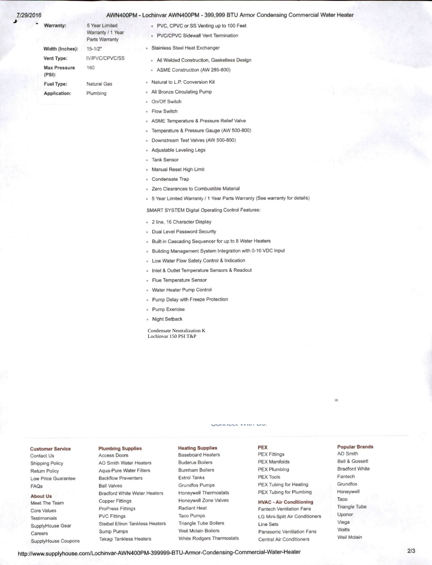#### 29/2016

#### AWN400PM - Lochinvar AWN400PM - 399,999 BTU Armor Condensing Commercial Water Heater

| Warranty:                     | 5 Year Limited<br>Warranty / 1 Year<br>Parts Warranty |
|-------------------------------|-------------------------------------------------------|
| Width (Inches):               | $15 - 1/2"$                                           |
| Vent Type:                    | IV/PVC/CPVC/SS                                        |
| <b>Max Pressure</b><br>(PSI): | 160                                                   |
| <b>Fuel Type:</b>             | Natural Gas                                           |
| <b>Application:</b>           | Plumbing                                              |
|                               |                                                       |

- PVC, CPVC or SS Venting up to 100 Feet · PVC/CPVC Sidewall Vent Termination
- · Stainless Steel Heat Exchanger
- All Welded Construction, Gasketless Design
- ASME Construction (AW 285-800)
- Natural to L.P. Conversion Kit
- All Bronze Circulating Pump
- On/Off Switch  $\bar{a}$
- Flow Switch  $\alpha$
- ASME Temperature & Pressure Relief Valve
- Temperature & Pressure Gauge (AW 500-800)  $\alpha$
- Downstream Test Valves (AW 500-800)  $\alpha$  .
- Adjustable Leveling Legs
- **Tank Sensor**  $\alpha$
- Manual Reset High Limit
- Condensate Trap  $\alpha$
- Zero Clearances to Combustible Material  $\alpha$  .
- 5 Year Limited Warranty / 1 Year Parts Warranty (See warranty for details)

iS

SMART SYSTEM Digital Operating Control Features:

- · 2 line, 16 Character Display
- Dual Level Password Security  $\alpha$
- Built in Cascading Sequencer for up to 8 Water Heaters  $\alpha$
- Building Management System Integration with 0-10 VDC Input  $\alpha$
- Low Water Flow Safety Control & Indication  $\mathbf{u}$  :
- Inlet & Outlet Temperature Sensors & Readout  $\alpha$
- Flue Temperature Sensor  $\alpha$
- Water Heater Pump Control  $\mathbf{g}$
- Pump Delay with Freeze Protection  $\alpha$
- Pump Exercise  $\,$
- · Night Setback

Condensate Neutralization K Lochinvar 150 PSI T&P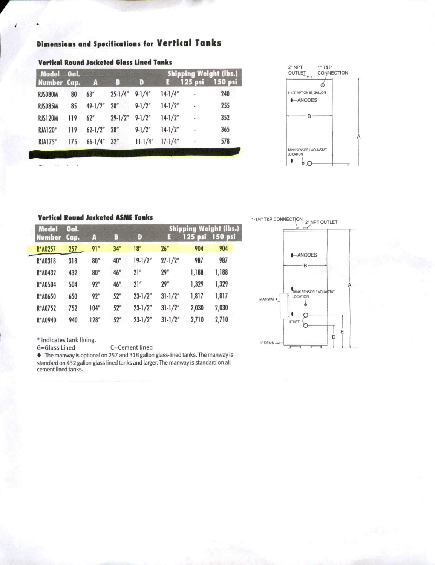| <b>Model</b><br>Number Cap. | Gal.       | А     | D<br>B |             | <b>Shipping Weight (lbs.</b><br>150 psi<br>125 psi<br>E |       |       |
|-----------------------------|------------|-------|--------|-------------|---------------------------------------------------------|-------|-------|
| R*A0257                     | <u>257</u> | 91"   | 34''   | 18''        | 26"                                                     | 904   | 904   |
| R*A0318                     | 318        | 80''  | 40"    | $19-1/2"$   | $27 - 1/2"$                                             | 987   | 987   |
| R*A0432                     | 432        | 80''  | 46''   | 21"         | 29''                                                    | 1,188 | 1,188 |
| R*A0504                     | 504        | 92"   | 46''   | 21''        | 29''                                                    | 1,329 | 1,329 |
| R*A0650                     | 650        | 92"   | 52"    | $23 - 1/2"$ | $31 - 1/2"$                                             | 1,817 | 1,817 |
| R*A0752                     | 752        | 104'' | 52"    | $23-1/2"$   | $31 - 1/2"$                                             | 2,030 | 2,030 |
| R*A0940                     | 940        | 128'' | 52"    | $23 - 1/2"$ | $31 - 1/2"$                                             | 2,710 | 2,710 |

## **Vertical Round Jacketed ASME Tanks**

\* Indicates tank lining.

G=Glass Lined

C=Cement lined

The manway is optional on 257 and 318 gallon glass-lined tanks. The manway is standard on 432 gallon glass lined tanks and larger. The manway is standard on all cement lined tanks.